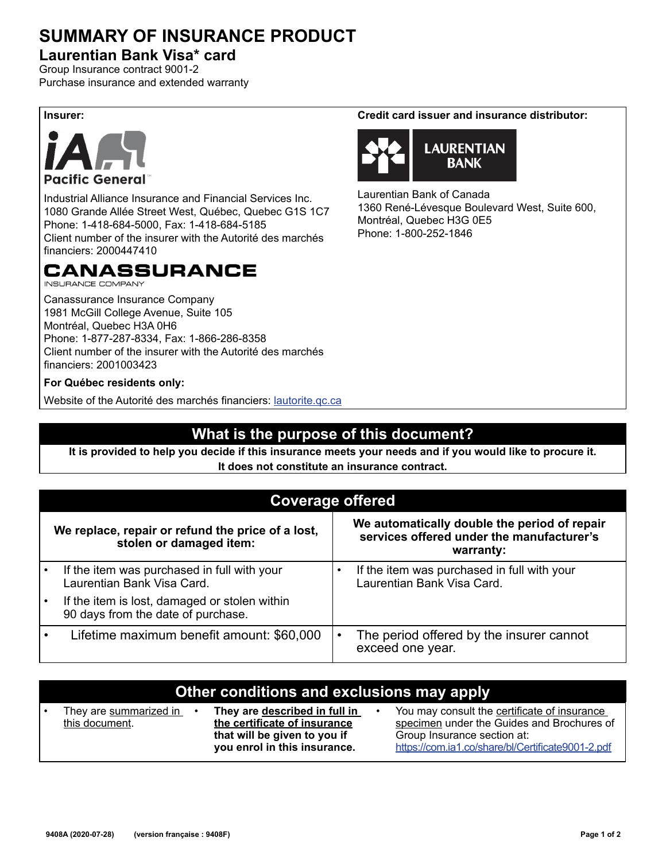## **SUMMARY OF INSURANCE PRODUCT**

#### **Laurentian Bank Visa\* card**

Group Insurance contract 9001-2 Purchase insurance and extended warranty



Industrial Alliance Insurance and Financial Services Inc. 1080 Grande Allée Street West, Québec, Quebec G1S 1C7 Phone: 1-418-684-5000, Fax: 1-418-684-5185 Client number of the insurer with the Autorité des marchés financiers: 2000447410

## CANASSURANCE

**INSURANCE COMPANY** 

Canassurance Insurance Company 1981 McGill College Avenue, Suite 105 Montréal, Quebec H3A 0H6 Phone: 1-877-287-8334, Fax: 1-866-286-8358 Client number of the insurer with the Autorité des marchés financiers: 2001003423

#### **For Québec residents only:**

Website of the Autorité des marchés financiers: *lautorite.qc.ca* 

### **What is the purpose of this document?**

**It is provided to help you decide if this insurance meets your needs and if you would like to procure it. It does not constitute an insurance contract.**

|                                                                              | <b>Coverage offered</b>                                                             |                                                                                                        |                                                                           |  |  |  |
|------------------------------------------------------------------------------|-------------------------------------------------------------------------------------|--------------------------------------------------------------------------------------------------------|---------------------------------------------------------------------------|--|--|--|
| We replace, repair or refund the price of a lost,<br>stolen or damaged item: |                                                                                     | We automatically double the period of repair<br>services offered under the manufacturer's<br>warranty: |                                                                           |  |  |  |
|                                                                              | If the item was purchased in full with your<br>Laurentian Bank Visa Card.           |                                                                                                        | If the item was purchased in full with your<br>Laurentian Bank Visa Card. |  |  |  |
|                                                                              | If the item is lost, damaged or stolen within<br>90 days from the date of purchase. |                                                                                                        |                                                                           |  |  |  |
|                                                                              | Lifetime maximum benefit amount: \$60,000                                           | $\bullet$                                                                                              | The period offered by the insurer cannot<br>exceed one year.              |  |  |  |

| Other conditions and exclusions may apply |                                          |                                                                                                                               |  |                                                                                                                                                                                |  |  |  |
|-------------------------------------------|------------------------------------------|-------------------------------------------------------------------------------------------------------------------------------|--|--------------------------------------------------------------------------------------------------------------------------------------------------------------------------------|--|--|--|
| ı.                                        | They are summarized in<br>this document. | They are described in full in<br>the certificate of insurance<br>that will be given to you if<br>you enrol in this insurance. |  | You may consult the certificate of insurance<br>specimen under the Guides and Brochures of<br>Group Insurance section at:<br>https://com.ia1.co/share/bl/Certificate9001-2.pdf |  |  |  |

**Insurer: Credit card issuer and insurance distributor:** 



Laurentian Bank of Canada 1360 René-Lévesque Boulevard West, Suite 600, Montréal, Quebec H3G 0E5 Phone: 1-800-252-1846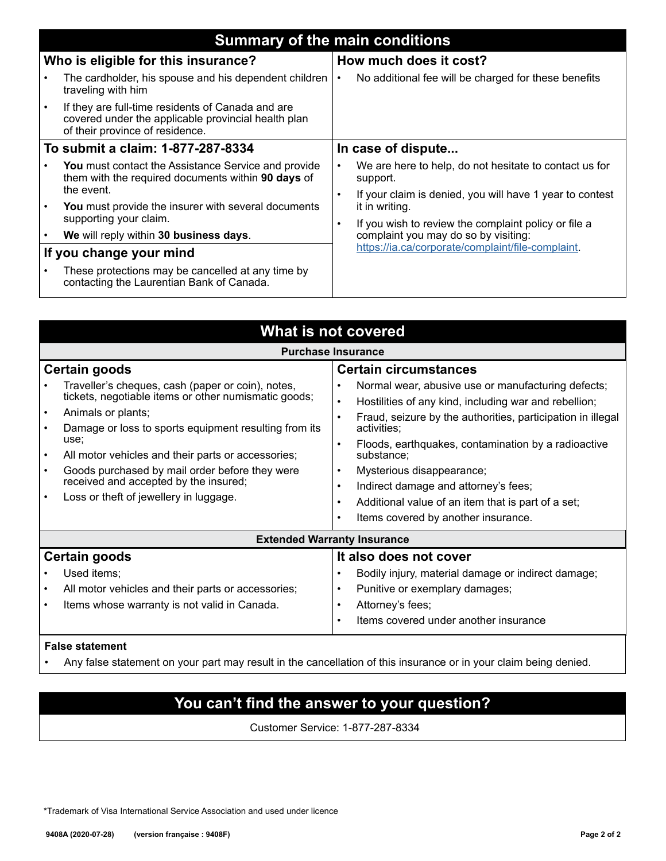|                                     | <b>Summary of the main conditions</b>                                                                                                       |                        |                                                                                              |  |  |  |  |
|-------------------------------------|---------------------------------------------------------------------------------------------------------------------------------------------|------------------------|----------------------------------------------------------------------------------------------|--|--|--|--|
| Who is eligible for this insurance? |                                                                                                                                             | How much does it cost? |                                                                                              |  |  |  |  |
|                                     | The cardholder, his spouse and his dependent children<br>traveling with him                                                                 | ٠                      | No additional fee will be charged for these benefits                                         |  |  |  |  |
|                                     | If they are full-time residents of Canada and are<br>covered under the applicable provincial health plan<br>of their province of residence. |                        |                                                                                              |  |  |  |  |
| To submit a claim: 1-877-287-8334   |                                                                                                                                             | In case of dispute     |                                                                                              |  |  |  |  |
|                                     | You must contact the Assistance Service and provide<br>them with the required documents within 90 days of<br>the event.                     | ٠                      | We are here to help, do not hesitate to contact us for<br>support.                           |  |  |  |  |
|                                     | You must provide the insurer with several documents                                                                                         |                        | If your claim is denied, you will have 1 year to contest<br>it in writing.                   |  |  |  |  |
|                                     | supporting your claim.<br>We will reply within 30 business days.                                                                            |                        | If you wish to review the complaint policy or file a<br>complaint you may do so by visiting: |  |  |  |  |
| If you change your mind             |                                                                                                                                             |                        | https://ia.ca/corporate/complaint/file-complaint.                                            |  |  |  |  |
|                                     | These protections may be cancelled at any time by<br>contacting the Laurentian Bank of Canada.                                              |                        |                                                                                              |  |  |  |  |

| <b>What is not covered</b>                                                                                                                                                                                                                                                                                                                                                                                                                          |                                                                                                                                                                                                                                                                                                                                                                                                                                                                                                                                                          |  |  |  |  |  |  |
|-----------------------------------------------------------------------------------------------------------------------------------------------------------------------------------------------------------------------------------------------------------------------------------------------------------------------------------------------------------------------------------------------------------------------------------------------------|----------------------------------------------------------------------------------------------------------------------------------------------------------------------------------------------------------------------------------------------------------------------------------------------------------------------------------------------------------------------------------------------------------------------------------------------------------------------------------------------------------------------------------------------------------|--|--|--|--|--|--|
| <b>Purchase Insurance</b>                                                                                                                                                                                                                                                                                                                                                                                                                           |                                                                                                                                                                                                                                                                                                                                                                                                                                                                                                                                                          |  |  |  |  |  |  |
| Certain goods<br>Traveller's cheques, cash (paper or coin), notes,<br>tickets, negotiable items or other numismatic goods;<br>Animals or plants;<br>$\bullet$<br>Damage or loss to sports equipment resulting from its<br>use:<br>All motor vehicles and their parts or accessories;<br>$\bullet$<br>Goods purchased by mail order before they were<br>$\bullet$<br>received and accepted by the insured;<br>Loss or theft of jewellery in luggage. | <b>Certain circumstances</b><br>Normal wear, abusive use or manufacturing defects;<br>$\bullet$<br>Hostilities of any kind, including war and rebellion;<br>$\bullet$<br>Fraud, seizure by the authorities, participation in illegal<br>$\bullet$<br>activities:<br>Floods, earthquakes, contamination by a radioactive<br>$\bullet$<br>substance:<br>Mysterious disappearance;<br>٠<br>Indirect damage and attorney's fees;<br>٠<br>Additional value of an item that is part of a set;<br>$\bullet$<br>Items covered by another insurance.<br>$\bullet$ |  |  |  |  |  |  |
| <b>Extended Warranty Insurance</b>                                                                                                                                                                                                                                                                                                                                                                                                                  |                                                                                                                                                                                                                                                                                                                                                                                                                                                                                                                                                          |  |  |  |  |  |  |
| Certain goods<br>Used items;<br>All motor vehicles and their parts or accessories;<br>$\bullet$<br>Items whose warranty is not valid in Canada.<br>$\bullet$                                                                                                                                                                                                                                                                                        | It also does not cover<br>Bodily injury, material damage or indirect damage;<br>Punitive or exemplary damages;<br>٠<br>Attorney's fees;<br>٠<br>Items covered under another insurance<br>$\bullet$                                                                                                                                                                                                                                                                                                                                                       |  |  |  |  |  |  |

#### **False statement**

• Any false statement on your part may result in the cancellation of this insurance or in your claim being denied.

## **You can't find the answer to your question?**

Customer Service: 1-877-287-8334

\*Trademark of Visa International Service Association and used under licence